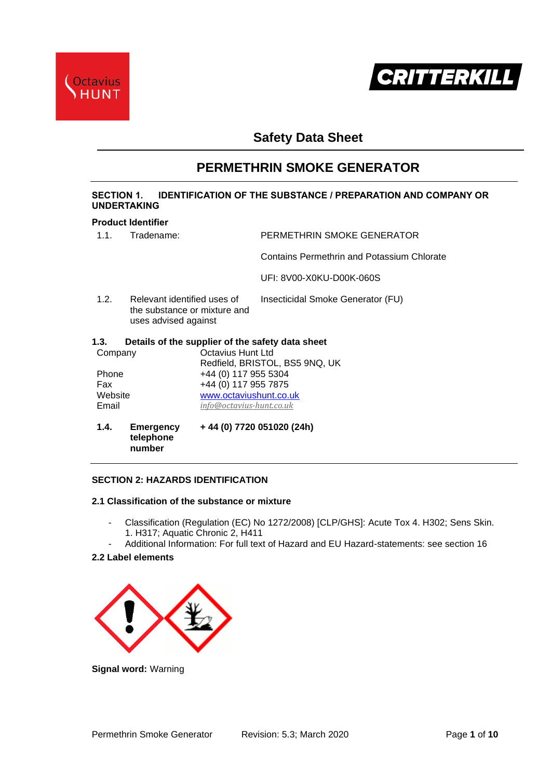



# **Safety Data Sheet**

# **PERMETHRIN SMOKE GENERATOR**

# **SECTION 1. IDENTIFICATION OF THE SUBSTANCE / PREPARATION AND COMPANY OR UNDERTAKING**

### **Product Identifier**

| 1.4.                                                                                        | Emergency<br>telephone<br>number |                          | +44 (0) 7720 051020 (24h)                        |  |
|---------------------------------------------------------------------------------------------|----------------------------------|--------------------------|--------------------------------------------------|--|
| Email                                                                                       |                                  | info@octavius-hunt.co.uk |                                                  |  |
| Website                                                                                     |                                  | www.octaviushunt.co.uk   |                                                  |  |
| Fax                                                                                         |                                  | +44 (0) 117 955 7875     |                                                  |  |
| Phone                                                                                       |                                  | +44 (0) 117 955 5304     |                                                  |  |
| Company                                                                                     |                                  | Octavius Hunt Ltd        | Redfield, BRISTOL, BS5 9NQ, UK                   |  |
| 1.3.                                                                                        |                                  |                          | Details of the supplier of the safety data sheet |  |
| 1.2.<br>Relevant identified uses of<br>the substance or mixture and<br>uses advised against |                                  |                          | Insecticidal Smoke Generator (FU)                |  |
|                                                                                             |                                  |                          | UFI: 8V00-X0KU-D00K-060S                         |  |
|                                                                                             |                                  |                          | Contains Permethrin and Potassium Chlorate       |  |
| 1.1.                                                                                        | Tradename:                       |                          | PERMETHRIN SMOKE GENERATOR                       |  |

# **SECTION 2: HAZARDS IDENTIFICATION**

#### **2.1 Classification of the substance or mixture**

- Classification (Regulation (EC) No 1272/2008) [CLP/GHS]: Acute Tox 4. H302; Sens Skin. 1. H317; Aquatic Chronic 2, H411
- Additional Information: For full text of Hazard and EU Hazard-statements: see section 16

# **2.2 Label elements**



**Signal word:** Warning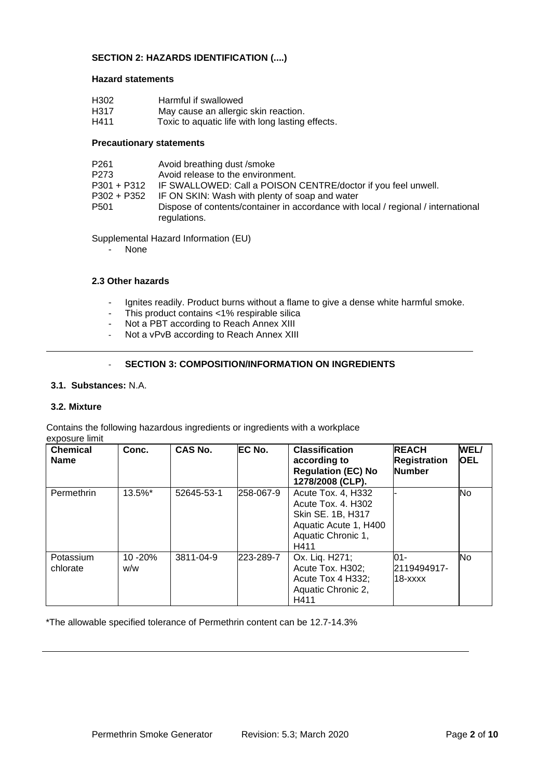# **SECTION 2: HAZARDS IDENTIFICATION (....)**

#### **Hazard statements**

| H <sub>302</sub>  | Harmful if swallowed                 |
|-------------------|--------------------------------------|
| H <sub>3</sub> 17 | May cause an allergic skin reaction. |

H411 Toxic to aquatic life with long lasting effects.

#### **Precautionary statements**

| P <sub>261</sub> | Avoid breathing dust /smoke                                                                       |
|------------------|---------------------------------------------------------------------------------------------------|
| P273             | Avoid release to the environment.                                                                 |
|                  | P301 + P312 IF SWALLOWED: Call a POISON CENTRE/doctor if you feel unwell.                         |
|                  | P302 + P352 IF ON SKIN: Wash with plenty of soap and water                                        |
| P <sub>501</sub> | Dispose of contents/container in accordance with local / regional / international<br>regulations. |

Supplemental Hazard Information (EU)

**None** 

#### **2.3 Other hazards**

- Ignites readily. Product burns without a flame to give a dense white harmful smoke.
- This product contains <1% respirable silica
- Not a PBT according to Reach Annex XIII
- Not a vPvB according to Reach Annex XIII

## - **SECTION 3: COMPOSITION/INFORMATION ON INGREDIENTS**

#### **3.1. Substances:** N.A.

#### **3.2. Mixture**

Contains the following hazardous ingredients or ingredients with a workplace exposure limit

| <b>Chemical</b><br><b>Name</b> | Conc.           | <b>CAS No.</b> | EC No.    | <b>Classification</b><br>according to<br><b>Regulation (EC) No</b><br>1278/2008 (CLP).                               | <b>REACH</b><br><b>Registration</b><br><b>Number</b> | WEL/<br><b>OEL</b> |
|--------------------------------|-----------------|----------------|-----------|----------------------------------------------------------------------------------------------------------------------|------------------------------------------------------|--------------------|
| Permethrin                     | 13.5%*          | 52645-53-1     | 258-067-9 | Acute Tox. 4, H332<br>Acute Tox. 4. H302<br>Skin SE. 1B, H317<br>Aquatic Acute 1, H400<br>Aquatic Chronic 1,<br>H411 |                                                      | No                 |
| Potassium<br>chlorate          | 10 - 20%<br>w/w | 3811-04-9      | 223-289-7 | Ox. Lig. H271;<br>Acute Tox. H302;<br>Acute Tox 4 H332;<br>Aquatic Chronic 2,<br>H411                                | 01-<br>2119494917-<br>18-xxxx                        | No                 |

\*The allowable specified tolerance of Permethrin content can be 12.7-14.3%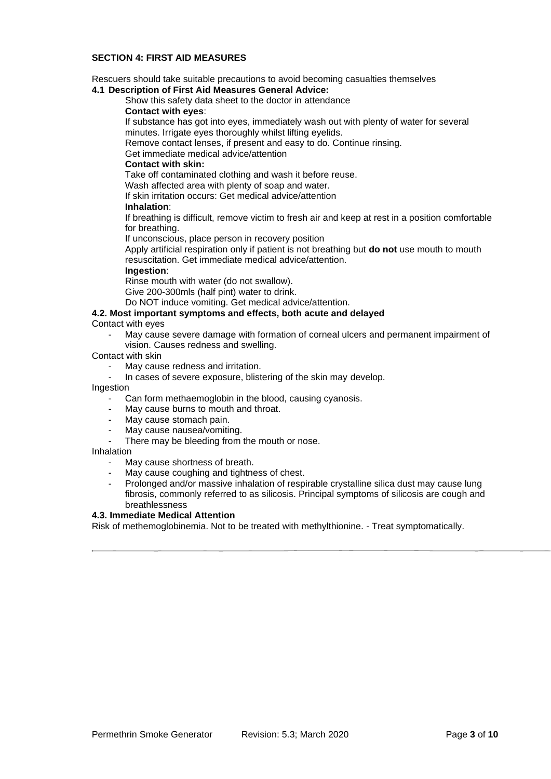## **SECTION 4: FIRST AID MEASURES**

Rescuers should take suitable precautions to avoid becoming casualties themselves

# **4.1 Description of First Aid Measures General Advice:**

Show this safety data sheet to the doctor in attendance

#### **Contact with eyes**:

If substance has got into eyes, immediately wash out with plenty of water for several minutes. Irrigate eyes thoroughly whilst lifting eyelids.

Remove contact lenses, if present and easy to do. Continue rinsing.

# Get immediate medical advice/attention

# **Contact with skin:**

Take off contaminated clothing and wash it before reuse.

Wash affected area with plenty of soap and water.

If skin irritation occurs: Get medical advice/attention

### **Inhalation**:

If breathing is difficult, remove victim to fresh air and keep at rest in a position comfortable for breathing.

If unconscious, place person in recovery position

Apply artificial respiration only if patient is not breathing but **do not** use mouth to mouth resuscitation. Get immediate medical advice/attention.

### **Ingestion**:

Rinse mouth with water (do not swallow).

Give 200-300mls (half pint) water to drink.

Do NOT induce vomiting. Get medical advice/attention.

# **4.2. Most important symptoms and effects, both acute and delayed**

Contact with eyes

May cause severe damage with formation of corneal ulcers and permanent impairment of vision. Causes redness and swelling.

### Contact with skin

- May cause redness and irritation.
- In cases of severe exposure, blistering of the skin may develop.

Ingestion

- Can form methaemoglobin in the blood, causing cyanosis.
- May cause burns to mouth and throat.
- May cause stomach pain.
- May cause nausea/vomiting.
- There may be bleeding from the mouth or nose.

#### Inhalation

- May cause shortness of breath.
- May cause coughing and tightness of chest.
- Prolonged and/or massive inhalation of respirable crystalline silica dust may cause lung fibrosis, commonly referred to as silicosis. Principal symptoms of silicosis are cough and breathlessness

# **4.3. Immediate Medical Attention**

Risk of methemoglobinemia. Not to be treated with methylthionine. - Treat symptomatically.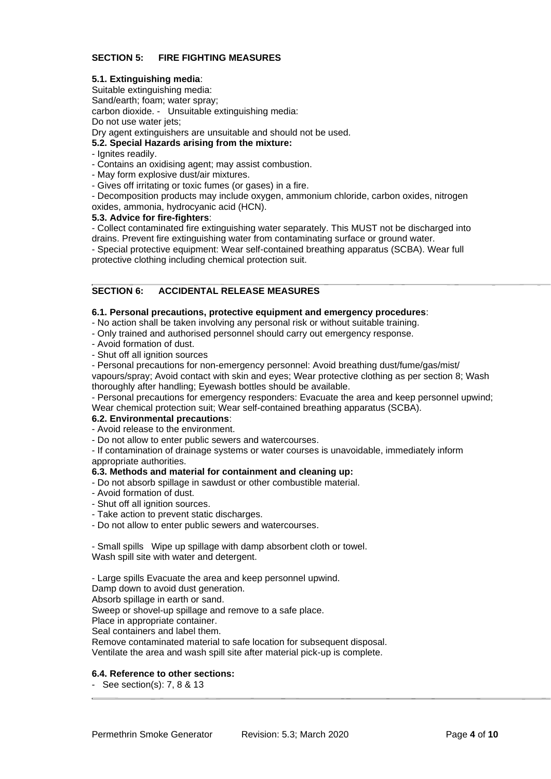# **SECTION 5: FIRE FIGHTING MEASURES**

#### **5.1. Extinguishing media**:

Suitable extinguishing media: Sand/earth; foam; water spray; carbon dioxide. - Unsuitable extinguishing media: Do not use water jets;

Dry agent extinguishers are unsuitable and should not be used.

## **5.2. Special Hazards arising from the mixture:**

- Ignites readily.
- Contains an oxidising agent; may assist combustion.
- May form explosive dust/air mixtures.
- Gives off irritating or toxic fumes (or gases) in a fire.

- Decomposition products may include oxygen, ammonium chloride, carbon oxides, nitrogen oxides, ammonia, hydrocyanic acid (HCN).

#### **5.3. Advice for fire-fighters**:

- Collect contaminated fire extinguishing water separately. This MUST not be discharged into drains. Prevent fire extinguishing water from contaminating surface or ground water.

- Special protective equipment: Wear self-contained breathing apparatus (SCBA). Wear full protective clothing including chemical protection suit.

# **SECTION 6: ACCIDENTAL RELEASE MEASURES**

#### **6.1. Personal precautions, protective equipment and emergency procedures**:

- No action shall be taken involving any personal risk or without suitable training.
- Only trained and authorised personnel should carry out emergency response.
- Avoid formation of dust.
- Shut off all ignition sources

- Personal precautions for non-emergency personnel: Avoid breathing dust/fume/gas/mist/ vapours/spray; Avoid contact with skin and eyes; Wear protective clothing as per section 8; Wash thoroughly after handling; Eyewash bottles should be available.

- Personal precautions for emergency responders: Evacuate the area and keep personnel upwind; Wear chemical protection suit; Wear self-contained breathing apparatus (SCBA).

#### **6.2. Environmental precautions**:

- Avoid release to the environment.
- Do not allow to enter public sewers and watercourses.

- If contamination of drainage systems or water courses is unavoidable, immediately inform appropriate authorities.

# **6.3. Methods and material for containment and cleaning up:**

- Do not absorb spillage in sawdust or other combustible material.
- Avoid formation of dust.
- Shut off all ignition sources.
- Take action to prevent static discharges.
- Do not allow to enter public sewers and watercourses.

- Small spills Wipe up spillage with damp absorbent cloth or towel. Wash spill site with water and detergent.

- Large spills Evacuate the area and keep personnel upwind.

Damp down to avoid dust generation.

Absorb spillage in earth or sand.

Sweep or shovel-up spillage and remove to a safe place.

Place in appropriate container.

Seal containers and label them.

Remove contaminated material to safe location for subsequent disposal.

Ventilate the area and wash spill site after material pick-up is complete.

# **6.4. Reference to other sections:**

- See section(s): 7, 8 & 13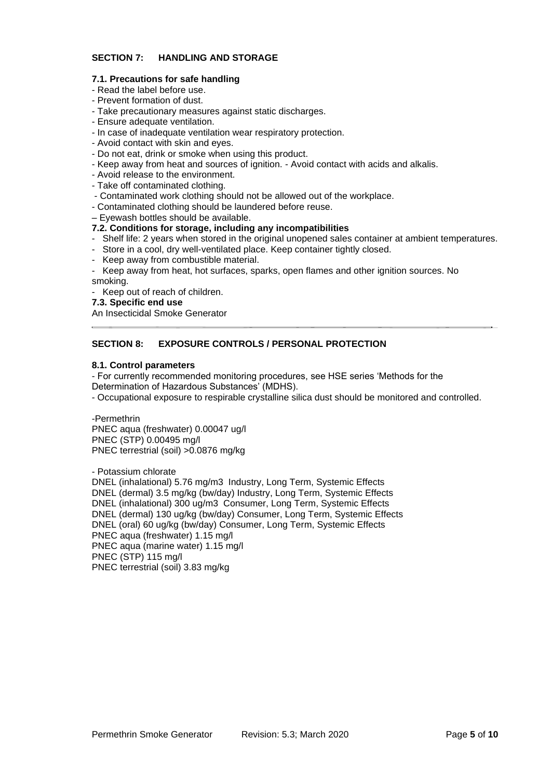# **SECTION 7: HANDLING AND STORAGE**

# **7.1. Precautions for safe handling**

- Read the label before use.
- Prevent formation of dust.
- Take precautionary measures against static discharges.
- Ensure adequate ventilation.
- In case of inadequate ventilation wear respiratory protection.
- Avoid contact with skin and eyes.
- Do not eat, drink or smoke when using this product.
- Keep away from heat and sources of ignition. Avoid contact with acids and alkalis.
- Avoid release to the environment.
- Take off contaminated clothing.
- Contaminated work clothing should not be allowed out of the workplace.
- Contaminated clothing should be laundered before reuse.
- Eyewash bottles should be available.

## **7.2. Conditions for storage, including any incompatibilities**

- Shelf life: 2 years when stored in the original unopened sales container at ambient temperatures.
- Store in a cool, dry well-ventilated place. Keep container tightly closed.
- Keep away from combustible material.
- Keep away from heat, hot surfaces, sparks, open flames and other ignition sources. No smoking.
- Keep out of reach of children.

### **7.3. Specific end use**

An Insecticidal Smoke Generator

# **SECTION 8: EXPOSURE CONTROLS / PERSONAL PROTECTION**

### **8.1. Control parameters**

- For currently recommended monitoring procedures, see HSE series 'Methods for the Determination of Hazardous Substances' (MDHS).

- Occupational exposure to respirable crystalline silica dust should be monitored and controlled.

-Permethrin

PNEC aqua (freshwater) 0.00047 ug/l PNEC (STP) 0.00495 mg/l PNEC terrestrial (soil) >0.0876 mg/kg

- Potassium chlorate

DNEL (inhalational) 5.76 mg/m3 Industry, Long Term, Systemic Effects DNEL (dermal) 3.5 mg/kg (bw/day) Industry, Long Term, Systemic Effects DNEL (inhalational) 300 ug/m3 Consumer, Long Term, Systemic Effects DNEL (dermal) 130 ug/kg (bw/day) Consumer, Long Term, Systemic Effects DNEL (oral) 60 ug/kg (bw/day) Consumer, Long Term, Systemic Effects PNEC aqua (freshwater) 1.15 mg/l PNEC aqua (marine water) 1.15 mg/l PNEC (STP) 115 mg/l PNEC terrestrial (soil) 3.83 mg/kg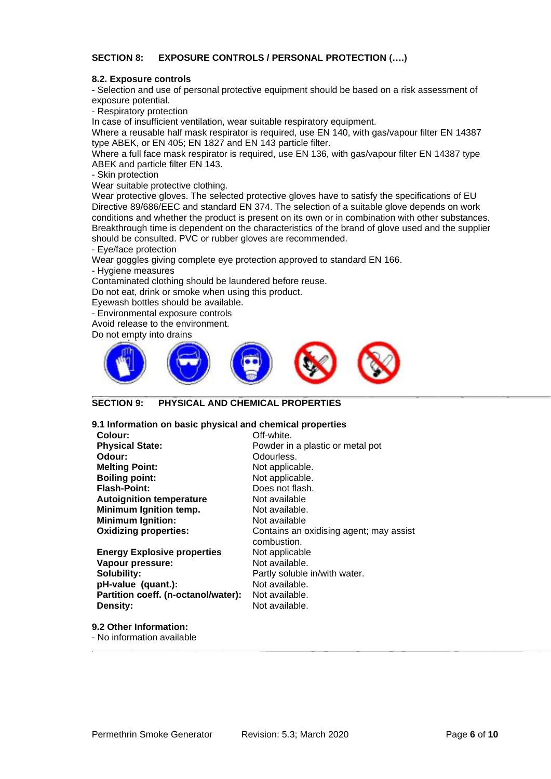# **SECTION 8: EXPOSURE CONTROLS / PERSONAL PROTECTION (….)**

#### **8.2. Exposure controls**

- Selection and use of personal protective equipment should be based on a risk assessment of exposure potential.

- Respiratory protection

In case of insufficient ventilation, wear suitable respiratory equipment.

Where a reusable half mask respirator is required, use EN 140, with gas/vapour filter EN 14387 type ABEK, or EN 405; EN 1827 and EN 143 particle filter.

Where a full face mask respirator is required, use EN 136, with gas/vapour filter EN 14387 type ABEK and particle filter EN 143.

- Skin protection

Wear suitable protective clothing.

Wear protective gloves. The selected protective gloves have to satisfy the specifications of EU Directive 89/686/EEC and standard EN 374. The selection of a suitable glove depends on work conditions and whether the product is present on its own or in combination with other substances. Breakthrough time is dependent on the characteristics of the brand of glove used and the supplier should be consulted. PVC or rubber gloves are recommended.

- Eye/face protection

Wear goggles giving complete eye protection approved to standard EN 166.

- Hygiene measures

Contaminated clothing should be laundered before reuse.

Do not eat, drink or smoke when using this product.

Eyewash bottles should be available.

- Environmental exposure controls

Avoid release to the environment.

Do not empty into drains



# **SECTION 9: PHYSICAL AND CHEMICAL PROPERTIES**

#### **9.1 Information on basic physical and chemical properties**

| Colour:                             | Off-white.                              |
|-------------------------------------|-----------------------------------------|
| <b>Physical State:</b>              | Powder in a plastic or metal pot        |
| Odour:                              | Odourless.                              |
| <b>Melting Point:</b>               | Not applicable.                         |
| <b>Boiling point:</b>               | Not applicable.                         |
| <b>Flash-Point:</b>                 | Does not flash.                         |
| <b>Autoignition temperature</b>     | Not available                           |
| Minimum Ignition temp.              | Not available.                          |
| <b>Minimum Ignition:</b>            | Not available                           |
| <b>Oxidizing properties:</b>        | Contains an oxidising agent; may assist |
|                                     | combustion.                             |
| <b>Energy Explosive properties</b>  | Not applicable                          |
| Vapour pressure:                    | Not available.                          |
| Solubility:                         | Partly soluble in/with water.           |
| pH-value (quant.):                  | Not available.                          |
| Partition coeff. (n-octanol/water): | Not available.                          |
| Density:                            | Not available.                          |
|                                     |                                         |

**9.2 Other Information:** - No information available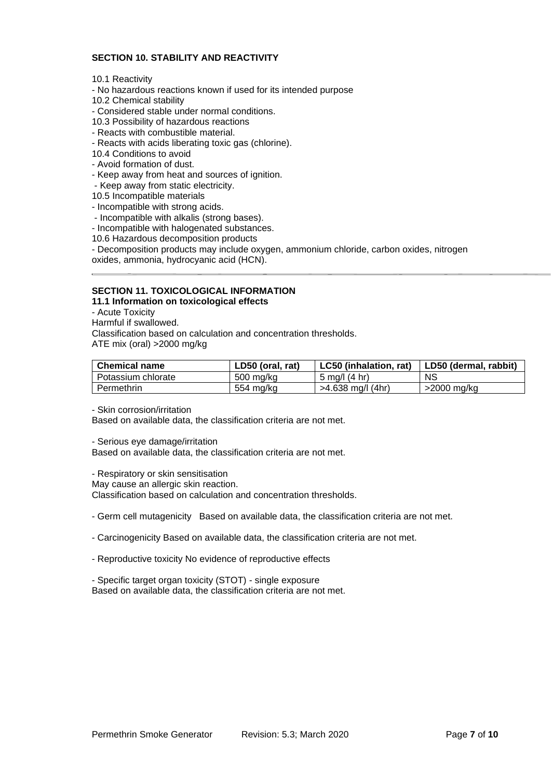# **SECTION 10. STABILITY AND REACTIVITY**

10.1 Reactivity

- No hazardous reactions known if used for its intended purpose
- 10.2 Chemical stability
- Considered stable under normal conditions.
- 10.3 Possibility of hazardous reactions
- Reacts with combustible material.
- Reacts with acids liberating toxic gas (chlorine).
- 10.4 Conditions to avoid
- Avoid formation of dust.
- Keep away from heat and sources of ignition.
- Keep away from static electricity.
- 10.5 Incompatible materials
- Incompatible with strong acids.
- Incompatible with alkalis (strong bases).
- Incompatible with halogenated substances.
- 10.6 Hazardous decomposition products

- Decomposition products may include oxygen, ammonium chloride, carbon oxides, nitrogen oxides, ammonia, hydrocyanic acid (HCN).

# **SECTION 11. TOXICOLOGICAL INFORMATION**

**11.1 Information on toxicological effects**

- Acute Toxicity

Harmful if swallowed.

Classification based on calculation and concentration thresholds.

ATE mix (oral) >2000 mg/kg

| <b>Chemical name</b> | LD50 (oral, rat) | LC50 (inhalation, rat)         | LD50 (dermal, rabbit) |
|----------------------|------------------|--------------------------------|-----------------------|
| Potassium chlorate   | 500 mg/kg        | $5 \text{ mod}/(4 \text{ hr})$ | <b>NS</b>             |
| Permethrin           | 554 mg/kg        | >4.638 mg/l (4hr)              | $>$ 2000 mg/kg        |

- Skin corrosion/irritation

Based on available data, the classification criteria are not met.

- Serious eye damage/irritation

Based on available data, the classification criteria are not met.

- Respiratory or skin sensitisation

May cause an allergic skin reaction.

Classification based on calculation and concentration thresholds.

- Germ cell mutagenicity Based on available data, the classification criteria are not met.

- Carcinogenicity Based on available data, the classification criteria are not met.

- Reproductive toxicity No evidence of reproductive effects

- Specific target organ toxicity (STOT) - single exposure Based on available data, the classification criteria are not met.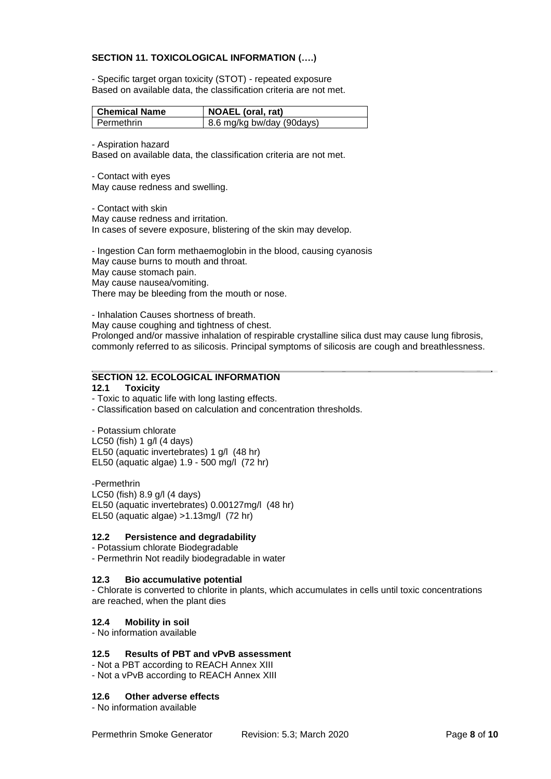### **SECTION 11. TOXICOLOGICAL INFORMATION (….)**

- Specific target organ toxicity (STOT) - repeated exposure Based on available data, the classification criteria are not met.

| Chemical Name | <b>NOAEL</b> (oral, rat)  |
|---------------|---------------------------|
| I Permethrin  | 8.6 mg/kg bw/day (90days) |

- Aspiration hazard

Based on available data, the classification criteria are not met.

- Contact with eyes May cause redness and swelling.

- Contact with skin May cause redness and irritation. In cases of severe exposure, blistering of the skin may develop.

- Ingestion Can form methaemoglobin in the blood, causing cyanosis May cause burns to mouth and throat. May cause stomach pain. May cause nausea/vomiting. There may be bleeding from the mouth or nose.

- Inhalation Causes shortness of breath. May cause coughing and tightness of chest. Prolonged and/or massive inhalation of respirable crystalline silica dust may cause lung fibrosis, commonly referred to as silicosis. Principal symptoms of silicosis are cough and breathlessness.

# **SECTION 12. ECOLOGICAL INFORMATION**

#### **12.1 Toxicity**

- Toxic to aquatic life with long lasting effects.

- Classification based on calculation and concentration thresholds.

- Potassium chlorate

LC50 (fish) 1 g/l (4 days) EL50 (aquatic invertebrates) 1 g/l (48 hr) EL50 (aquatic algae) 1.9 - 500 mg/l (72 hr)

-Permethrin

LC50 (fish) 8.9 g/l (4 days) EL50 (aquatic invertebrates) 0.00127mg/l (48 hr) EL50 (aquatic algae) >1.13mg/l (72 hr)

#### **12.2 Persistence and degradability**

- Potassium chlorate Biodegradable

- Permethrin Not readily biodegradable in water

#### **12.3 Bio accumulative potential**

- Chlorate is converted to chlorite in plants, which accumulates in cells until toxic concentrations are reached, when the plant dies

# **12.4 Mobility in soil**

- No information available

# **12.5 Results of PBT and vPvB assessment**

- Not a PBT according to REACH Annex XIII

- Not a vPvB according to REACH Annex XIII

#### **12.6 Other adverse effects**

- No information available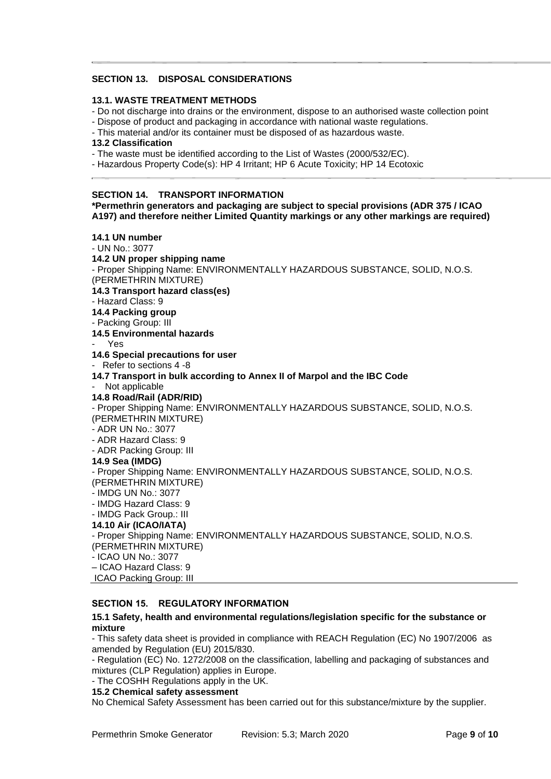# **SECTION 13. DISPOSAL CONSIDERATIONS**

#### **13.1. WASTE TREATMENT METHODS**

- Do not discharge into drains or the environment, dispose to an authorised waste collection point
- Dispose of product and packaging in accordance with national waste regulations.
- This material and/or its container must be disposed of as hazardous waste.

#### **13.2 Classification**

- The waste must be identified according to the List of Wastes (2000/532/EC).
- Hazardous Property Code(s): HP 4 Irritant; HP 6 Acute Toxicity; HP 14 Ecotoxic

#### **SECTION 14. TRANSPORT INFORMATION**

**\*Permethrin generators and packaging are subject to special provisions (ADR 375 / ICAO A197) and therefore neither Limited Quantity markings or any other markings are required)**

# **14.1 UN number**

- UN No.: 3077

**14.2 UN proper shipping name**

- Proper Shipping Name: ENVIRONMENTALLY HAZARDOUS SUBSTANCE, SOLID, N.O.S. (PERMETHRIN MIXTURE)

**14.3 Transport hazard class(es)**

- Hazard Class: 9

**14.4 Packing group**

- Packing Group: III

**14.5 Environmental hazards** 

- Yes

**14.6 Special precautions for user** 

- Refer to sections 4 -8

**14.7 Transport in bulk according to Annex II of Marpol and the IBC Code** 

## Not applicable

**14.8 Road/Rail (ADR/RID)** 

- Proper Shipping Name: ENVIRONMENTALLY HAZARDOUS SUBSTANCE, SOLID, N.O.S. (PERMETHRIN MIXTURE)

- ADR UN No.: 3077

- ADR Hazard Class: 9

- ADR Packing Group: III

#### **14.9 Sea (IMDG)**

- Proper Shipping Name: ENVIRONMENTALLY HAZARDOUS SUBSTANCE, SOLID, N.O.S. (PERMETHRIN MIXTURE)

- IMDG UN No.: 3077

- IMDG Hazard Class: 9

- IMDG Pack Group.: III

# **14.10 Air (ICAO/IATA)**

- Proper Shipping Name: ENVIRONMENTALLY HAZARDOUS SUBSTANCE, SOLID, N.O.S. (PERMETHRIN MIXTURE)

- ICAO UN No.: 3077

– ICAO Hazard Class: 9

ICAO Packing Group: III

### **SECTION 15. REGULATORY INFORMATION**

#### **15.1 Safety, health and environmental regulations/legislation specific for the substance or mixture**

- This safety data sheet is provided in compliance with REACH Regulation (EC) No 1907/2006 as amended by Regulation (EU) 2015/830.

- Regulation (EC) No. 1272/2008 on the classification, labelling and packaging of substances and mixtures (CLP Regulation) applies in Europe.

- The COSHH Regulations apply in the UK.

#### **15.2 Chemical safety assessment**

No Chemical Safety Assessment has been carried out for this substance/mixture by the supplier.